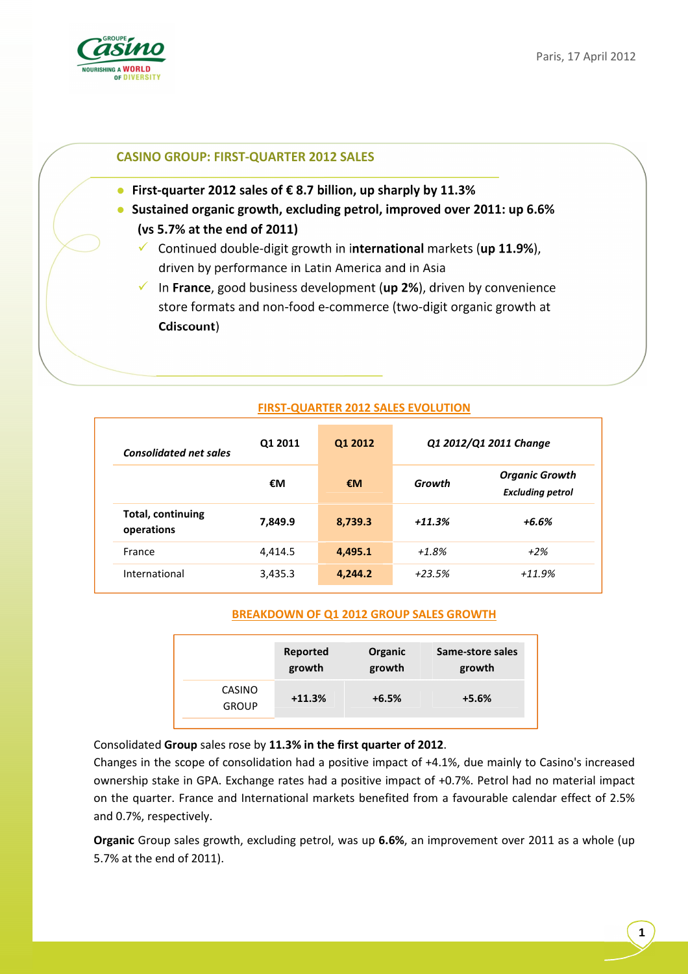

## **CASINO GROUP: FIRST-QUARTER 2012 SALES**

- **First-quarter 2012 sales of € 8.7 billion, up sharply by 11.3%**
- **Sustained organic growth, excluding petrol, improved over 2011: up 6.6% (vs 5.7% at the end of 2011)** 
	- Continued double-digit growth in i**nternational** markets (**up 11.9%**), driven by performance in Latin America and in Asia

- In **France**, good business development (**up 2%**), driven by convenience store formats and non-food e-commerce (two-digit organic growth at **Cdiscount**)

| <b>Consolidated net sales</b>          | 01 2011 | Q1 2012 | Q1 2012/Q1 2011 Change |                                                  |
|----------------------------------------|---------|---------|------------------------|--------------------------------------------------|
|                                        | €M      | €M      | Growth                 | <b>Organic Growth</b><br><b>Excluding petrol</b> |
| <b>Total, continuing</b><br>operations | 7,849.9 | 8,739.3 | $+11.3%$               | +6.6%                                            |
| France                                 | 4,414.5 | 4,495.1 | $+1.8%$                | $+2%$                                            |
| International                          | 3,435.3 | 4,244.2 | $+23.5%$               | $+11.9%$                                         |

### **FIRST-QUARTER 2012 SALES EVOLUTION**

### **BREAKDOWN OF Q1 2012 GROUP SALES GROWTH**

|                        | Reported | Organic | Same-store sales |
|------------------------|----------|---------|------------------|
|                        | growth   | growth  | growth           |
| CASINO<br><b>GROUP</b> | $+11.3%$ | $+6.5%$ | $+5.6%$          |

Consolidated **Group** sales rose by **11.3% in the first quarter of 2012**.

Changes in the scope of consolidation had a positive impact of +4.1%, due mainly to Casino's increased ownership stake in GPA. Exchange rates had a positive impact of +0.7%. Petrol had no material impact on the quarter. France and International markets benefited from a favourable calendar effect of 2.5% and 0.7%, respectively.

**Organic** Group sales growth, excluding petrol, was up **6.6%**, an improvement over 2011 as a whole (up 5.7% at the end of 2011).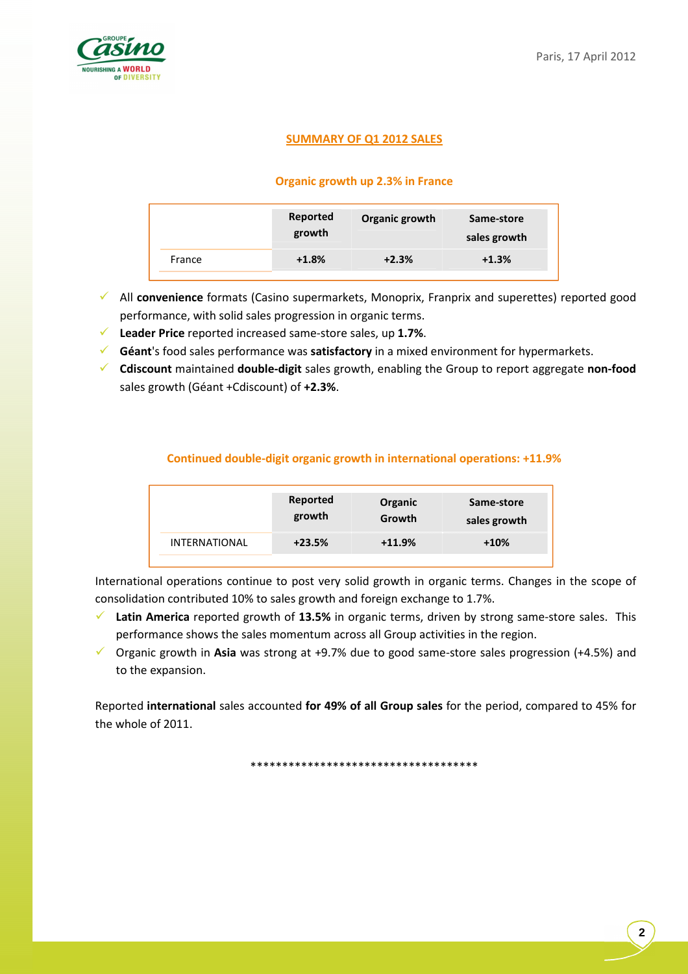

## **SUMMARY OF Q1 2012 SALES**

## **Organic growth up 2.3% in France**

|        | Reported<br>growth | Organic growth | Same-store<br>sales growth |
|--------|--------------------|----------------|----------------------------|
| France | $+1.8%$            | $+2.3%$        | $+1.3%$                    |

- All **convenience** formats (Casino supermarkets, Monoprix, Franprix and superettes) reported good performance, with solid sales progression in organic terms.
- **Leader Price** reported increased same-store sales, up **1.7%**.
- **Géant**'s food sales performance was **satisfactory** in a mixed environment for hypermarkets.
- **Cdiscount** maintained **double-digit** sales growth, enabling the Group to report aggregate **non-food**  sales growth (Géant +Cdiscount) of **+2.3%**.

## **Continued double-digit organic growth in international operations: +11.9%**

|                      | Reported | Organic  | Same-store   |
|----------------------|----------|----------|--------------|
|                      | growth   | Growth   | sales growth |
| <b>INTERNATIONAL</b> | $+23.5%$ | $+11.9%$ | $+10%$       |

International operations continue to post very solid growth in organic terms. Changes in the scope of consolidation contributed 10% to sales growth and foreign exchange to 1.7%.

- **Latin America** reported growth of **13.5%** in organic terms, driven by strong same-store sales. This performance shows the sales momentum across all Group activities in the region.
- Organic growth in **Asia** was strong at +9.7% due to good same-store sales progression (+4.5%) and to the expansion.

Reported **international** sales accounted **for 49% of all Group sales** for the period, compared to 45% for the whole of 2011.

\*\*\*\*\*\*\*\*\*\*\*\*\*\*\*\*\*\*\*\*\*\*\*\*\*\*\*\*\*\*\*\*\*\*\*\*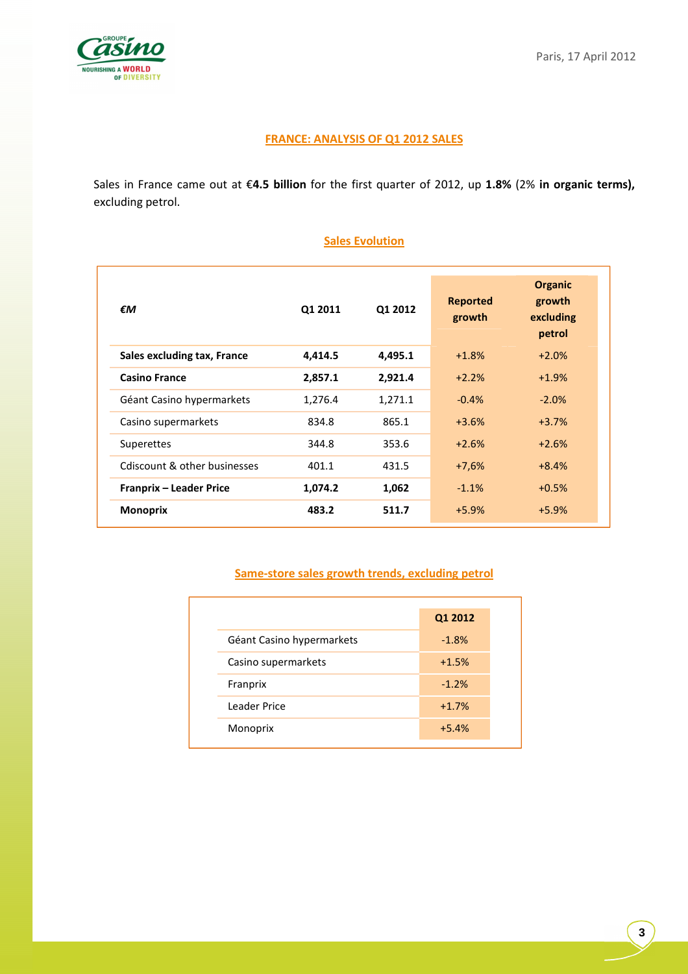

# **FRANCE: ANALYSIS OF Q1 2012 SALES**

Sales in France came out at €**4.5 billion** for the first quarter of 2012, up **1.8%** (2% **in organic terms),**  excluding petrol.

| €M                             | Q1 2011 | Q1 2012 | <b>Reported</b><br>growth | <b>Organic</b><br>growth<br>excluding<br>petrol |
|--------------------------------|---------|---------|---------------------------|-------------------------------------------------|
| Sales excluding tax, France    | 4,414.5 | 4,495.1 | $+1.8%$                   | $+2.0%$                                         |
| <b>Casino France</b>           | 2,857.1 | 2,921.4 | $+2.2%$                   | $+1.9%$                                         |
| Géant Casino hypermarkets      | 1,276.4 | 1,271.1 | $-0.4%$                   | $-2.0%$                                         |
| Casino supermarkets            | 834.8   | 865.1   | $+3.6%$                   | $+3.7%$                                         |
| Superettes                     | 344.8   | 353.6   | $+2.6%$                   | $+2.6%$                                         |
| Cdiscount & other businesses   | 401.1   | 431.5   | $+7,6%$                   | $+8.4%$                                         |
| <b>Franprix - Leader Price</b> | 1,074.2 | 1,062   | $-1.1%$                   | $+0.5%$                                         |
| <b>Monoprix</b>                | 483.2   | 511.7   | $+5.9%$                   | $+5.9%$                                         |

## **Sales Evolution**

## **Same-store sales growth trends, excluding petrol**

|                           | Q1 2012 |
|---------------------------|---------|
| Géant Casino hypermarkets | $-1.8%$ |
| Casino supermarkets       | $+1.5%$ |
| Franprix                  | $-1.2%$ |
| Leader Price              | $+1.7%$ |
| Monoprix                  | $+5.4%$ |
|                           |         |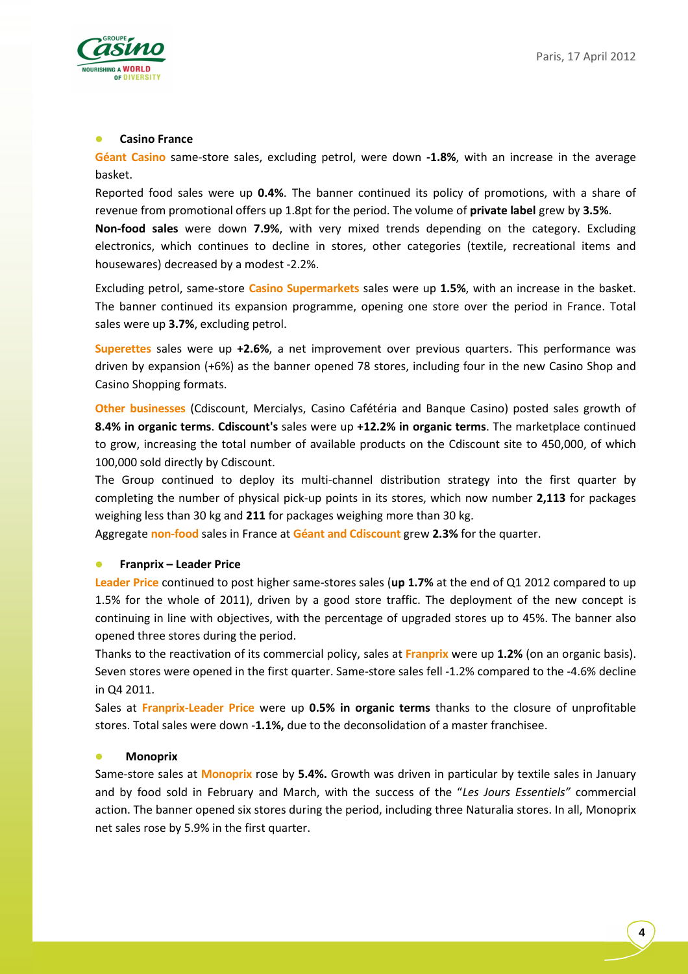

## **Casino France**

**Géant Casino** same-store sales, excluding petrol, were down **-1.8%**, with an increase in the average basket.

Reported food sales were up **0.4%**. The banner continued its policy of promotions, with a share of revenue from promotional offers up 1.8pt for the period. The volume of **private label** grew by **3.5%**.

**Non-food sales** were down **7.9%**, with very mixed trends depending on the category. Excluding electronics, which continues to decline in stores, other categories (textile, recreational items and housewares) decreased by a modest -2.2%.

Excluding petrol, same-store **Casino Supermarkets** sales were up **1.5%**, with an increase in the basket. The banner continued its expansion programme, opening one store over the period in France. Total sales were up **3.7%**, excluding petrol.

**Superettes** sales were up **+2.6%**, a net improvement over previous quarters. This performance was driven by expansion (+6%) as the banner opened 78 stores, including four in the new Casino Shop and Casino Shopping formats.

**Other businesses** (Cdiscount, Mercialys, Casino Cafétéria and Banque Casino) posted sales growth of **8.4% in organic terms**. **Cdiscount's** sales were up **+12.2% in organic terms**. The marketplace continued to grow, increasing the total number of available products on the Cdiscount site to 450,000, of which 100,000 sold directly by Cdiscount.

The Group continued to deploy its multi-channel distribution strategy into the first quarter by completing the number of physical pick-up points in its stores, which now number **2,113** for packages weighing less than 30 kg and **211** for packages weighing more than 30 kg.

Aggregate **non-food** sales in France at **Géant and Cdiscount** grew **2.3%** for the quarter.

### **Franprix – Leader Price**

**Leader Price** continued to post higher same-stores sales (**up 1.7%** at the end of Q1 2012 compared to up 1.5% for the whole of 2011), driven by a good store traffic. The deployment of the new concept is continuing in line with objectives, with the percentage of upgraded stores up to 45%. The banner also opened three stores during the period.

Thanks to the reactivation of its commercial policy, sales at **Franprix** were up **1.2%** (on an organic basis). Seven stores were opened in the first quarter. Same-store sales fell -1.2% compared to the -4.6% decline in Q4 2011.

Sales at **Franprix-Leader Price** were up **0.5% in organic terms** thanks to the closure of unprofitable stores. Total sales were down -**1.1%,** due to the deconsolidation of a master franchisee.

### **•** Monoprix

Same-store sales at **Monoprix** rose by **5.4%.** Growth was driven in particular by textile sales in January and by food sold in February and March, with the success of the "*Les Jours Essentiels"* commercial action. The banner opened six stores during the period, including three Naturalia stores. In all, Monoprix net sales rose by 5.9% in the first quarter.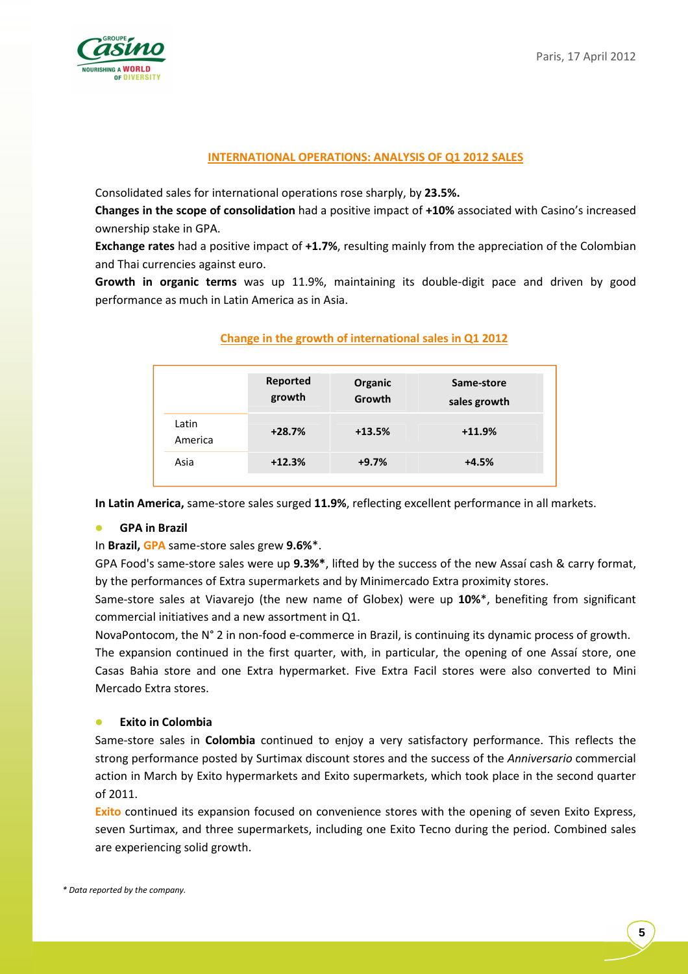

### **INTERNATIONAL OPERATIONS: ANALYSIS OF Q1 2012 SALES**

Consolidated sales for international operations rose sharply, by **23.5%.**

**Changes in the scope of consolidation** had a positive impact of **+10%** associated with Casino's increased ownership stake in GPA.

**Exchange rates** had a positive impact of **+1.7%**, resulting mainly from the appreciation of the Colombian and Thai currencies against euro.

**Growth in organic terms** was up 11.9%, maintaining its double-digit pace and driven by good performance as much in Latin America as in Asia.

|                  | Reported<br>growth | Organic<br>Growth | Same-store<br>sales growth |
|------------------|--------------------|-------------------|----------------------------|
| Latin<br>America | $+28.7%$           | $+13.5%$          | $+11.9%$                   |
| Asia             | $+12.3%$           | $+9.7%$           | $+4.5%$                    |
|                  |                    |                   |                            |

### **Change in the growth of international sales in Q1 2012**

**In Latin America,** same-store sales surged **11.9%**, reflecting excellent performance in all markets.

## **GPA in Brazil**

In **Brazil, GPA** same-store sales grew **9.6%**\*.

GPA Food's same-store sales were up **9.3%\***, lifted by the success of the new Assaí cash & carry format, by the performances of Extra supermarkets and by Minimercado Extra proximity stores.

Same-store sales at Viavarejo (the new name of Globex) were up **10%**\*, benefiting from significant commercial initiatives and a new assortment in Q1.

NovaPontocom, the N° 2 in non-food e-commerce in Brazil, is continuing its dynamic process of growth.

The expansion continued in the first quarter, with, in particular, the opening of one Assaí store, one Casas Bahia store and one Extra hypermarket. Five Extra Facil stores were also converted to Mini Mercado Extra stores.

### **Exito in Colombia**

Same-store sales in **Colombia** continued to enjoy a very satisfactory performance. This reflects the strong performance posted by Surtimax discount stores and the success of the *Anniversario* commercial action in March by Exito hypermarkets and Exito supermarkets, which took place in the second quarter of 2011.

**Exito** continued its expansion focused on convenience stores with the opening of seven Exito Express, seven Surtimax, and three supermarkets, including one Exito Tecno during the period. Combined sales are experiencing solid growth.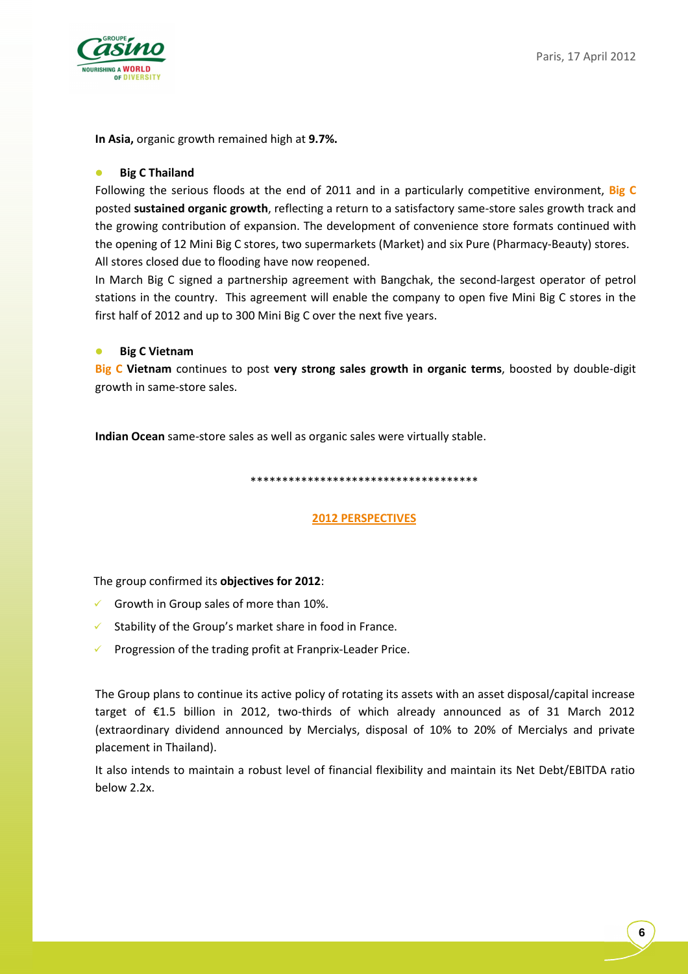

**In Asia,** organic growth remained high at **9.7%.**

### **Big C Thailand**

Following the serious floods at the end of 2011 and in a particularly competitive environment, **Big C** posted **sustained organic growth**, reflecting a return to a satisfactory same-store sales growth track and the growing contribution of expansion. The development of convenience store formats continued with the opening of 12 Mini Big C stores, two supermarkets (Market) and six Pure (Pharmacy-Beauty) stores. All stores closed due to flooding have now reopened.

In March Big C signed a partnership agreement with Bangchak, the second-largest operator of petrol stations in the country. This agreement will enable the company to open five Mini Big C stores in the first half of 2012 and up to 300 Mini Big C over the next five years.

### **Big C Vietnam**

**Big C Vietnam** continues to post **very strong sales growth in organic terms**, boosted by double-digit growth in same-store sales.

**Indian Ocean** same-store sales as well as organic sales were virtually stable.

#### \*\*\*\*\*\*\*\*\*\*\*\*\*\*\*\*\*\*\*\*\*\*\*\*\*\*\*\*\*\*\*\*\*\*\*\*

### **2012 PERSPECTIVES**

The group confirmed its **objectives for 2012**:

- $\checkmark$  Growth in Group sales of more than 10%.
- $\checkmark$  Stability of the Group's market share in food in France.
- $\checkmark$ Progression of the trading profit at Franprix-Leader Price.

The Group plans to continue its active policy of rotating its assets with an asset disposal/capital increase target of €1.5 billion in 2012, two-thirds of which already announced as of 31 March 2012 (extraordinary dividend announced by Mercialys, disposal of 10% to 20% of Mercialys and private placement in Thailand).

It also intends to maintain a robust level of financial flexibility and maintain its Net Debt/EBITDA ratio below 2.2x.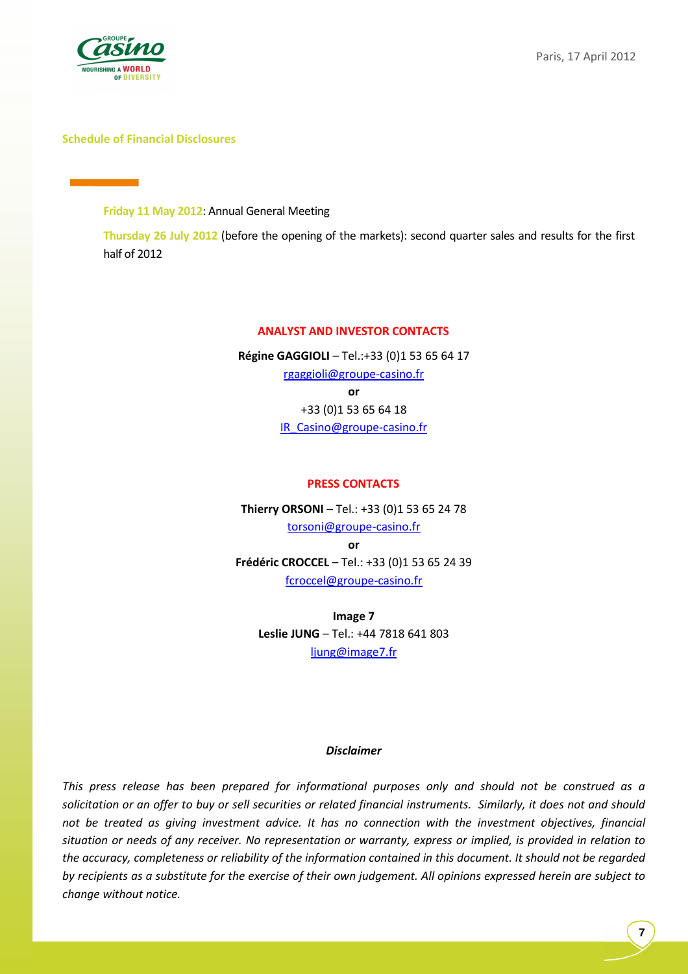

### **Schedule of Financial Disclosures**

**Friday 11 May 2012**: Annual General Meeting

**Thursday 26 July 2012** (before the opening of the markets): second quarter sales and results for the first half of 2012

### **ANALYST AND INVESTOR CONTACTS**

**Régine GAGGIOLI** – Tel.:+33 (0)1 53 65 64 17 rgaggioli@groupe-casino.fr **or**  +33 (0)1 53 65 64 18 IR\_Casino@groupe-casino.fr

### **PRESS CONTACTS**

**Thierry ORSONI** – Tel.: +33 (0)1 53 65 24 78 torsoni@groupe-casino.fr **or Frédéric CROCCEL** – Tel.: +33 (0)1 53 65 24 39 fcroccel@groupe-casino.fr

**Image 7 Leslie JUNG** – Tel.: +44 7818 641 803 ljung@image7.fr

#### *Disclaimer*

*This press release has been prepared for informational purposes only and should not be construed as a solicitation or an offer to buy or sell securities or related financial instruments. Similarly, it does not and should not be treated as giving investment advice. It has no connection with the investment objectives, financial situation or needs of any receiver. No representation or warranty, express or implied, is provided in relation to the accuracy, completeness or reliability of the information contained in this document. It should not be regarded by recipients as a substitute for the exercise of their own judgement. All opinions expressed herein are subject to change without notice.*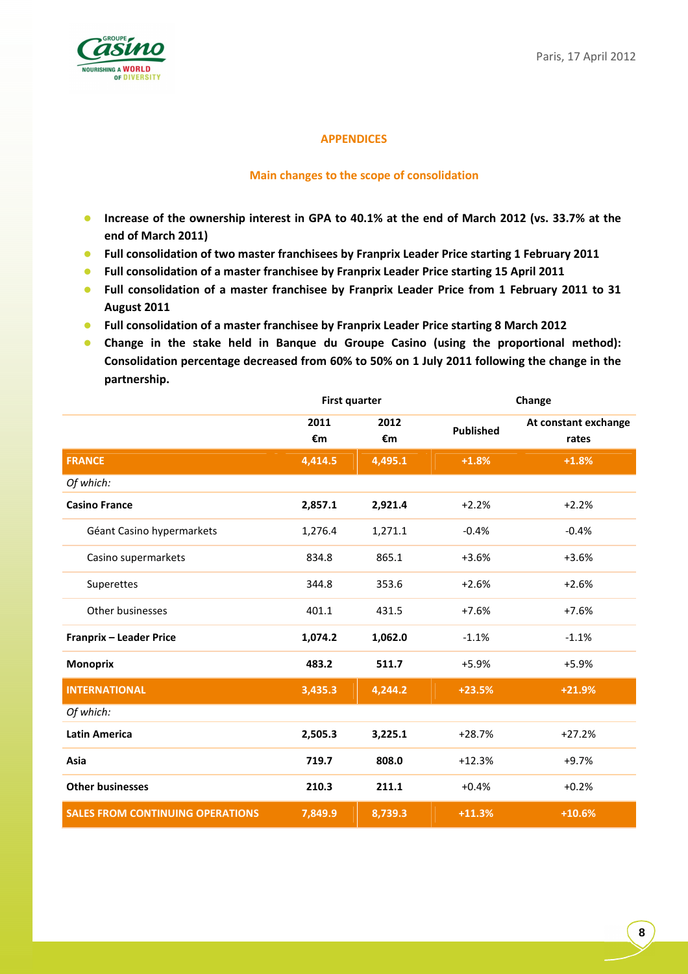

## **APPENDICES**

### **Main changes to the scope of consolidation**

- **Increase of the ownership interest in GPA to 40.1% at the end of March 2012 (vs. 33.7% at the end of March 2011)**
- **•** Full consolidation of two master franchisees by Franprix Leader Price starting 1 February 2011
- **•** Full consolidation of a master franchisee by Franprix Leader Price starting 15 April 2011
- **Full consolidation of a master franchisee by Franprix Leader Price from 1 February 2011 to 31 August 2011**
- **Full consolidation of a master franchisee by Franprix Leader Price starting 8 March 2012**
- **Change in the stake held in Banque du Groupe Casino (using the proportional method): Consolidation percentage decreased from 60% to 50% on 1 July 2011 following the change in the partnership.**

|                                         | <b>First quarter</b> |            |                  | Change                        |
|-----------------------------------------|----------------------|------------|------------------|-------------------------------|
|                                         | 2011<br>€m           | 2012<br>€m | <b>Published</b> | At constant exchange<br>rates |
| <b>FRANCE</b>                           | 4,414.5              | 4,495.1    | $+1.8%$          | $+1.8%$                       |
| Of which:                               |                      |            |                  |                               |
| <b>Casino France</b>                    | 2,857.1              | 2,921.4    | $+2.2%$          | $+2.2%$                       |
| Géant Casino hypermarkets               | 1,276.4              | 1,271.1    | $-0.4%$          | $-0.4%$                       |
| Casino supermarkets                     | 834.8                | 865.1      | $+3.6%$          | $+3.6%$                       |
| Superettes                              | 344.8                | 353.6      | $+2.6%$          | $+2.6%$                       |
| Other businesses                        | 401.1                | 431.5      | $+7.6%$          | $+7.6%$                       |
| Franprix - Leader Price                 | 1,074.2              | 1,062.0    | $-1.1%$          | $-1.1%$                       |
| <b>Monoprix</b>                         | 483.2                | 511.7      | $+5.9%$          | $+5.9%$                       |
| <b>INTERNATIONAL</b>                    | 3,435.3              | 4,244.2    | $+23.5%$         | $+21.9%$                      |
| Of which:                               |                      |            |                  |                               |
| <b>Latin America</b>                    | 2,505.3              | 3,225.1    | $+28.7%$         | $+27.2%$                      |
| Asia                                    | 719.7                | 808.0      | $+12.3%$         | $+9.7%$                       |
| <b>Other businesses</b>                 | 210.3                | 211.1      | $+0.4%$          | $+0.2%$                       |
| <b>SALES FROM CONTINUING OPERATIONS</b> | 7,849.9              | 8,739.3    | $+11.3%$         | $+10.6%$                      |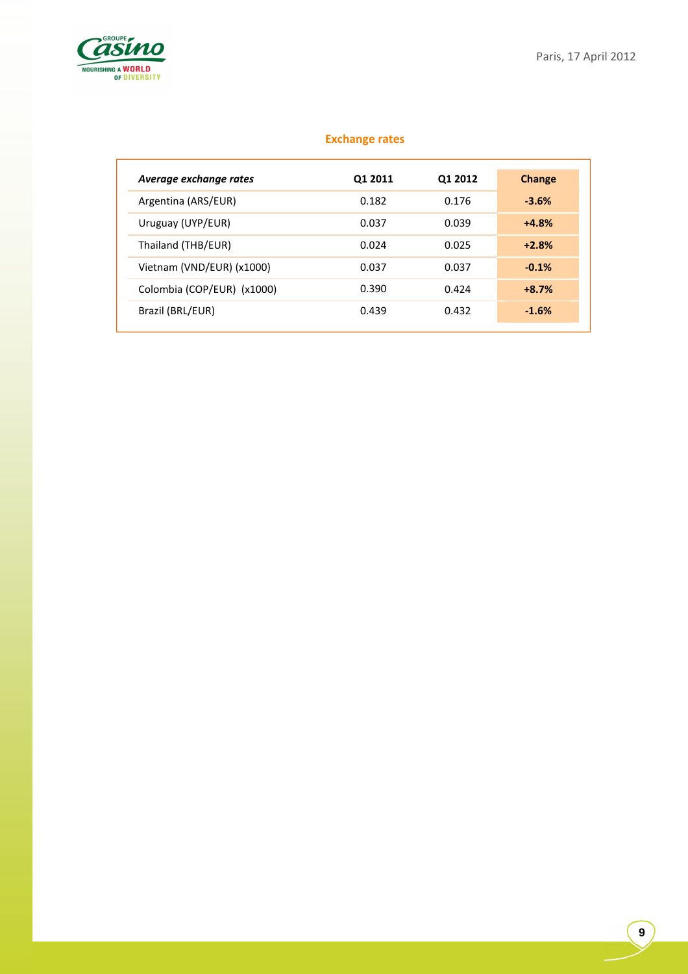

## **Exchange rates**

| Average exchange rates     | 01 2011 | 01 2012 | Change  |
|----------------------------|---------|---------|---------|
| Argentina (ARS/EUR)        | 0.182   | 0.176   | $-3.6%$ |
| Uruguay (UYP/EUR)          | 0.037   | 0.039   | $+4.8%$ |
| Thailand (THB/EUR)         | 0.024   | 0.025   | $+2.8%$ |
| Vietnam (VND/EUR) (x1000)  | 0.037   | 0.037   | $-0.1%$ |
| Colombia (COP/EUR) (x1000) | 0.390   | 0.424   | $+8.7%$ |
| Brazil (BRL/EUR)           | 0.439   | 0.432   | $-1.6%$ |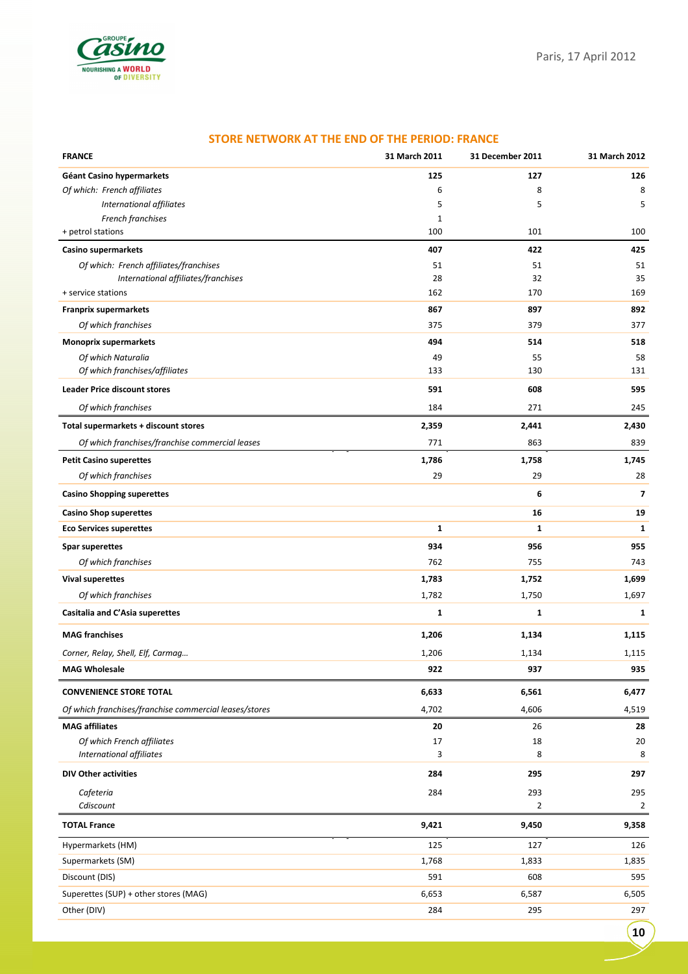

| <b>FRANCE</b>                                          | 31 March 2011 | 31 December 2011 | 31 March 2012  |
|--------------------------------------------------------|---------------|------------------|----------------|
| Géant Casino hypermarkets                              | 125           | 127              | 126            |
| Of which: French affiliates                            | 6             | 8                | 8              |
| International affiliates                               | 5             | 5                | 5              |
| French franchises                                      | 1             |                  |                |
| + petrol stations                                      | 100           | 101              | 100            |
| Casino supermarkets                                    | 407           | 422              | 425            |
| Of which: French affiliates/franchises                 | 51            | 51               | 51             |
| International affiliates/franchises                    | 28            | 32               | 35             |
| + service stations                                     | 162           | 170              | 169            |
| <b>Franprix supermarkets</b>                           | 867           | 897              | 892            |
| Of which franchises                                    | 375           | 379              | 377            |
| <b>Monoprix supermarkets</b>                           | 494           | 514              | 518            |
| Of which Naturalia<br>Of which franchises/affiliates   | 49<br>133     | 55<br>130        | 58<br>131      |
|                                                        |               |                  |                |
| <b>Leader Price discount stores</b>                    | 591           | 608              | 595            |
| Of which franchises                                    | 184           | 271              | 245            |
| Total supermarkets + discount stores                   | 2,359         | 2,441            | 2,430          |
| Of which franchises/franchise commercial leases        | 771           | 863              | 839            |
| <b>Petit Casino superettes</b>                         | 1,786         | 1,758            | 1,745          |
| Of which franchises                                    | 29            | 29               | 28             |
| <b>Casino Shopping superettes</b>                      |               | 6                | $\overline{ }$ |
| <b>Casino Shop superettes</b>                          |               | 16               | 19             |
| <b>Eco Services superettes</b>                         | 1             | 1                | 1              |
| <b>Spar superettes</b>                                 | 934           | 956              | 955            |
| Of which franchises                                    | 762           | 755              | 743            |
| <b>Vival superettes</b>                                | 1,783         | 1,752            | 1,699          |
| Of which franchises                                    | 1,782         | 1,750            | 1,697          |
| Casitalia and C'Asia superettes                        | 1             | 1                | 1              |
| <b>MAG</b> franchises                                  | 1,206         | 1,134            | 1,115          |
| Corner, Relay, Shell, Elf, Carmag                      | 1,206         | 1,134            | 1,115          |
| <b>MAG Wholesale</b>                                   | 922           | 937              | 935            |
| <b>CONVENIENCE STORE TOTAL</b>                         | 6,633         | 6,561            | 6,477          |
| Of which franchises/franchise commercial leases/stores | 4,702         | 4,606            | 4,519          |
| <b>MAG</b> affiliates                                  | 20            | 26               | 28             |
| Of which French affiliates                             | 17            | 18               | 20             |
| International affiliates                               | 3             | 8                | 8              |
| <b>DIV Other activities</b>                            | 284           | 295              | 297            |
| Cafeteria                                              | 284           | 293              | 295            |
| Cdiscount                                              |               | $\overline{2}$   | $\overline{2}$ |
| <b>TOTAL France</b>                                    | 9,421         | 9,450            | 9,358          |
| Hypermarkets (HM)                                      | 125           | 127              | 126            |
| Supermarkets (SM)                                      | 1,768         | 1,833            | 1,835          |
| Discount (DIS)                                         | 591           | 608              | 595            |
| Superettes (SUP) + other stores (MAG)                  | 6,653         | 6,587            | 6,505          |
| Other (DIV)                                            | 284           | 295              | 297            |

#### **STORE NETWORK AT THE END OF THE PERIOD: FRANCE**